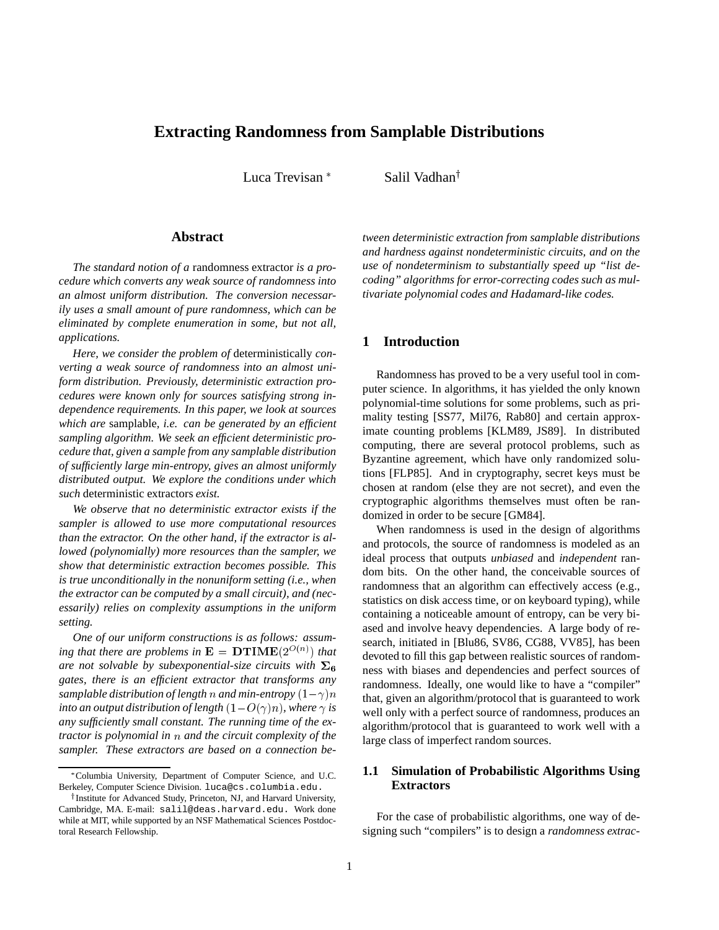# **Extracting Randomness from Samplable Distributions**

Luca Trevisan<sup>\*</sup>

Salil Vadhan<sup>†</sup>

#### **Abstract**

*The standard notion of a* randomness extractor *is a procedure which converts any weak source of randomness into an almost uniform distribution. The conversion necessarily uses a small amount of pure randomness, which can be eliminated by complete enumeration in some, but not all, applications.*

*Here, we consider the problem of* deterministically *converting a weak source of randomness into an almost uniform distribution. Previously, deterministic extraction procedures were known only for sources satisfying strong independence requirements. In this paper, we look at sources which are* samplable*, i.e. can be generated by an efficient sampling algorithm. We seek an efficient deterministic procedure that, given a sample from any samplable distribution of sufficiently large min-entropy, gives an almost uniformly distributed output. We explore the conditions under which such* deterministic extractors *exist.*

*We observe that no deterministic extractor exists if the sampler is allowed to use more computational resources than the extractor. On the other hand, if the extractor is allowed (polynomially) more resources than the sampler, we show that deterministic extraction becomes possible. This is true unconditionally in the nonuniform setting (i.e., when the extractor can be computed by a small circuit), and (necessarily) relies on complexity assumptions in the uniform setting.*

*One of our uniform constructions is as follows: assum*ing that there are problems in  $\mathbf{E} = \mathbf{DTIME}(2^{O(n)})$  that *are not solvable by subexponential-size circuits with*  $\Sigma_6$ *gates, there is an efficient extractor that transforms any samplable distribution of length* n *and min-entropy*  $(1 - \gamma)n$ *into an output distribution of length*  $(1 - O(\gamma)n)$ *, where*  $\gamma$  *is any sufficiently small constant. The running time of the extractor is polynomial in* <sup>n</sup> *and the circuit complexity of the sampler. These extractors are based on a connection be-* *tween deterministic extraction from samplable distributions and hardness against nondeterministic circuits, and on the use of nondeterminism to substantially speed up "list decoding" algorithms for error-correcting codes such as multivariate polynomial codes and Hadamard-like codes.*

## **1 Introduction**

Randomness has proved to be a very useful tool in computer science. In algorithms, it has yielded the only known polynomial-time solutions for some problems, such as primality testing [SS77, Mil76, Rab80] and certain approximate counting problems [KLM89, JS89]. In distributed computing, there are several protocol problems, such as Byzantine agreement, which have only randomized solutions [FLP85]. And in cryptography, secret keys must be chosen at random (else they are not secret), and even the cryptographic algorithms themselves must often be randomized in order to be secure [GM84].

When randomness is used in the design of algorithms and protocols, the source of randomness is modeled as an ideal process that outputs *unbiased* and *independent* random bits. On the other hand, the conceivable sources of randomness that an algorithm can effectively access (e.g., statistics on disk access time, or on keyboard typing), while containing a noticeable amount of entropy, can be very biased and involve heavy dependencies. A large body of research, initiated in [Blu86, SV86, CG88, VV85], has been devoted to fill this gap between realistic sources of randomness with biases and dependencies and perfect sources of randomness. Ideally, one would like to have a "compiler" that, given an algorithm/protocol that is guaranteed to work well only with a perfect source of randomness, produces an algorithm/protocol that is guaranteed to work well with a large class of imperfect random sources.

## **1.1 Simulation of Probabilistic Algorithms Using Extractors**

For the case of probabilistic algorithms, one way of designing such "compilers" is to design a *randomness extrac-*

Columbia University, Department of Computer Science, and U.C. Berkeley, Computer Science Division. luca@cs.columbia.edu.

<sup>&</sup>lt;sup>†</sup> Institute for Advanced Study, Princeton, NJ, and Harvard University, Cambridge, MA. E-mail: salil@deas.harvard.edu. Work done while at MIT, while supported by an NSF Mathematical Sciences Postdoctoral Research Fellowship.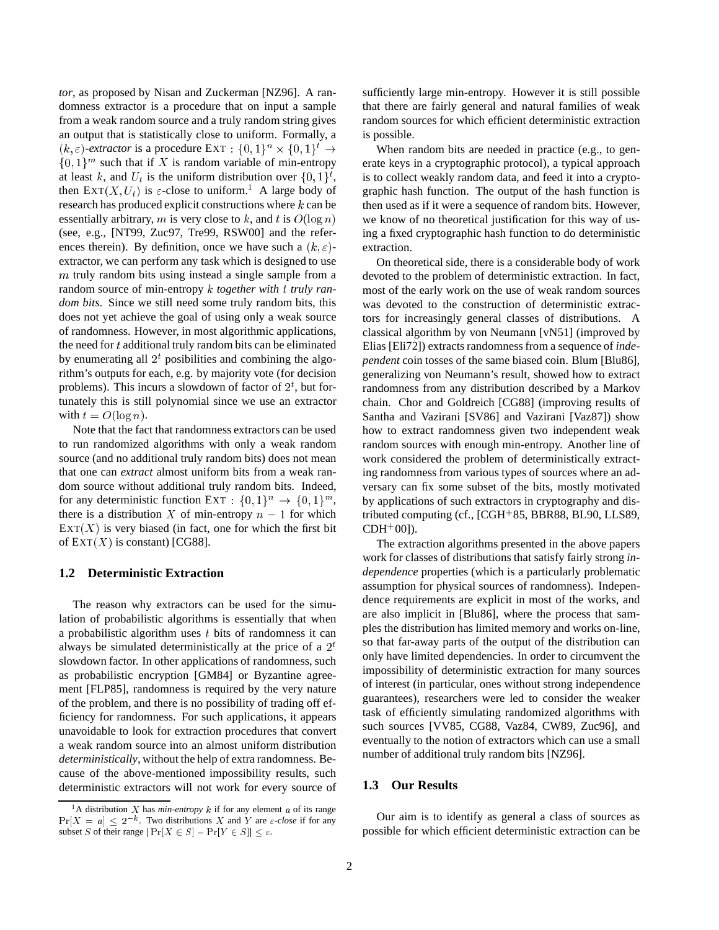*tor*, as proposed by Nisan and Zuckerman [NZ96]. A randomness extractor is a procedure that on input a sample from a weak random source and a truly random string gives an output that is statistically close to uniform. Formally, a  $(k, \varepsilon)$ -extractor is a procedure EXT :  $\{0, 1\}^n \times \{0, 1\}^t \rightarrow$  $\{0,1\}^m$  such that if X is random variable of min-entropy at least k, and  $U_t$  is the uniform distribution over  $\{0,1\}^t$ , then  $\text{EXT}(X, U_t)$  is  $\varepsilon$ -close to uniform.<sup>1</sup> A large body of research has produced explicit constructions where  $k$  can be essentially arbitrary, m is very close to k, and t is  $O(\log n)$ (see, e.g., [NT99, Zuc97, Tre99, RSW00] and the references therein). By definition, once we have such a  $(k, \varepsilon)$ extractor, we can perform any task which is designed to use m truly random bits using instead a single sample from a random source of min-entropy k *together with* <sup>t</sup> *truly random bits*. Since we still need some truly random bits, this does not yet achieve the goal of using only a weak source of randomness. However, in most algorithmic applications, the need for  $t$  additional truly random bits can be eliminated by enumerating all  $2<sup>t</sup>$  posibilities and combining the algorithm's outputs for each, e.g. by majority vote (for decision problems). This incurs a slowdown of factor of  $2^t$ , but fortunately this is still polynomial since we use an extractor with  $t = O(\log n)$ .

Note that the fact that randomness extractors can be used to run randomized algorithms with only a weak random source (and no additional truly random bits) does not mean that one can *extract* almost uniform bits from a weak random source without additional truly random bits. Indeed, for any deterministic function EXT :  $\{0,1\}^n \rightarrow \{0,1\}^m$ , there is a distribution X of min-entropy  $n - 1$  for which  $\text{EXT}(X)$  is very biased (in fact, one for which the first bit of  $\text{EXT}(X)$  is constant) [CG88].

#### **1.2 Deterministic Extraction**

The reason why extractors can be used for the simulation of probabilistic algorithms is essentially that when a probabilistic algorithm uses  $t$  bits of randomness it can always be simulated deterministically at the price of a  $2<sup>t</sup>$ slowdown factor. In other applications of randomness, such as probabilistic encryption [GM84] or Byzantine agreement [FLP85], randomness is required by the very nature of the problem, and there is no possibility of trading off efficiency for randomness. For such applications, it appears unavoidable to look for extraction procedures that convert a weak random source into an almost uniform distribution *deterministically*, without the help of extra randomness. Because of the above-mentioned impossibility results, such deterministic extractors will not work for every source of sufficiently large min-entropy. However it is still possible that there are fairly general and natural families of weak random sources for which efficient deterministic extraction is possible.

When random bits are needed in practice (e.g., to generate keys in a cryptographic protocol), a typical approach is to collect weakly random data, and feed it into a cryptographic hash function. The output of the hash function is then used as if it were a sequence of random bits. However, we know of no theoretical justification for this way of using a fixed cryptographic hash function to do deterministic extraction.

On theoretical side, there is a considerable body of work devoted to the problem of deterministic extraction. In fact, most of the early work on the use of weak random sources was devoted to the construction of deterministic extractors for increasingly general classes of distributions. A classical algorithm by von Neumann [vN51] (improved by Elias [Eli72]) extracts randomness from a sequence of *independent* coin tosses of the same biased coin. Blum [Blu86], generalizing von Neumann's result, showed how to extract randomness from any distribution described by a Markov chain. Chor and Goldreich [CG88] (improving results of Santha and Vazirani [SV86] and Vazirani [Vaz87]) show how to extract randomness given two independent weak random sources with enough min-entropy. Another line of work considered the problem of deterministically extracting randomness from various types of sources where an adversary can fix some subset of the bits, mostly motivated by applications of such extractors in cryptography and distributed computing (cf., [CGH<sup>+</sup> 85, BBR88, BL90, LLS89,  $CDH^+00]$ ).

The extraction algorithms presented in the above papers work for classes of distributions that satisfy fairly strong *independence* properties (which is a particularly problematic assumption for physical sources of randomness). Independence requirements are explicit in most of the works, and are also implicit in [Blu86], where the process that samples the distribution has limited memory and works on-line, so that far-away parts of the output of the distribution can only have limited dependencies. In order to circumvent the impossibility of deterministic extraction for many sources of interest (in particular, ones without strong independence guarantees), researchers were led to consider the weaker task of efficiently simulating randomized algorithms with such sources [VV85, CG88, Vaz84, CW89, Zuc96], and eventually to the notion of extractors which can use a small number of additional truly random bits [NZ96].

#### **1.3 Our Results**

Our aim is to identify as general a class of sources as possible for which efficient deterministic extraction can be

<sup>&</sup>lt;sup>1</sup>A distribution X has *min-entropy*  $k$  if for any element  $a$  of its range  $Pr[X = a] \leq 2^{-k}$ . Two distributions X and Y are  $\varepsilon$ -close if for any subset S of their range  $|\Pr[X \in S] - \Pr[Y \in S]| \le \varepsilon$ .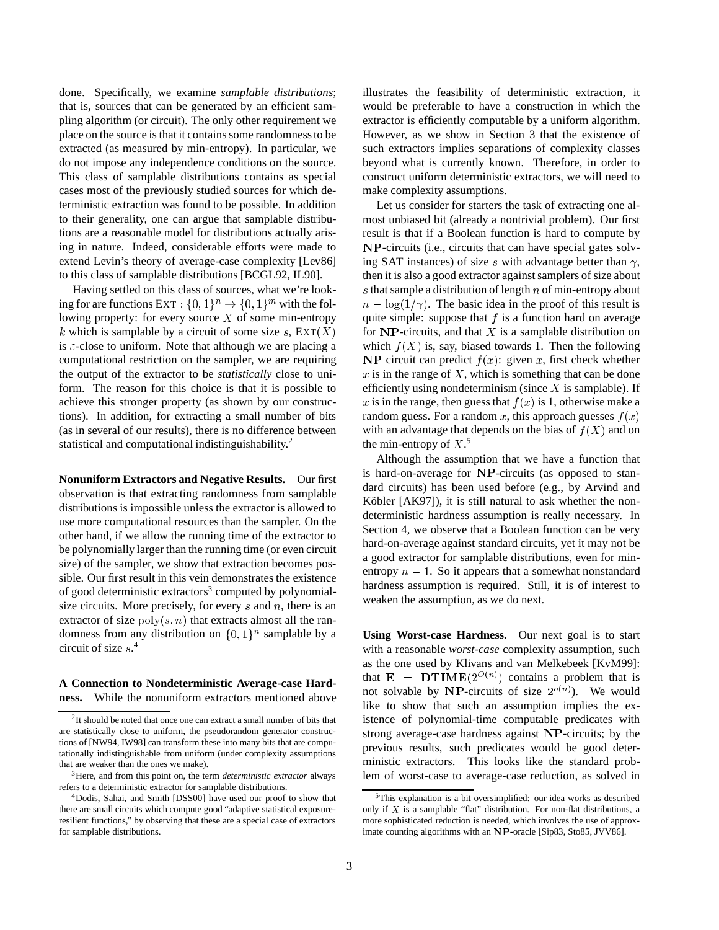done. Specifically, we examine *samplable distributions*; that is, sources that can be generated by an efficient sampling algorithm (or circuit). The only other requirement we place on the source is that it contains some randomness to be extracted (as measured by min-entropy). In particular, we do not impose any independence conditions on the source. This class of samplable distributions contains as special cases most of the previously studied sources for which deterministic extraction was found to be possible. In addition to their generality, one can argue that samplable distributions are a reasonable model for distributions actually arising in nature. Indeed, considerable efforts were made to extend Levin's theory of average-case complexity [Lev86] to this class of samplable distributions [BCGL92, IL90].

Having settled on this class of sources, what we're looking for are functions  $\text{Ext} : \{0,1\}^n \to \{0,1\}^m$  with the following property: for every source  $X$  of some min-entropy k which is samplable by a circuit of some size s,  $\text{EXT}(X)$ is  $\varepsilon$ -close to uniform. Note that although we are placing a computational restriction on the sampler, we are requiring the output of the extractor to be *statistically* close to uniform. The reason for this choice is that it is possible to achieve this stronger property (as shown by our constructions). In addition, for extracting a small number of bits (as in several of our results), there is no difference between statistical and computational indistinguishability.<sup>2</sup>

**Nonuniform Extractors and Negative Results.** Our first observation is that extracting randomness from samplable distributions is impossible unless the extractor is allowed to use more computational resources than the sampler. On the other hand, if we allow the running time of the extractor to be polynomially larger than the running time (or even circuit size) of the sampler, we show that extraction becomes possible. Our first result in this vein demonstrates the existence of good deterministic extractors<sup>3</sup> computed by polynomialsize circuits. More precisely, for every  $s$  and  $n$ , there is an extractor of size  $poly(s, n)$  that extracts almost all the randomness from any distribution on  $\{0,1\}^n$  samplable by a circuit of size <sup>s</sup>. 4

#### **A Connection to Nondeterministic Average-case Hardness.** While the nonuniform extractors mentioned above

illustrates the feasibility of deterministic extraction, it would be preferable to have a construction in which the extractor is efficiently computable by a uniform algorithm. However, as we show in Section 3 that the existence of such extractors implies separations of complexity classes beyond what is currently known. Therefore, in order to construct uniform deterministic extractors, we will need to make complexity assumptions.

Let us consider for starters the task of extracting one almost unbiased bit (already a nontrivial problem). Our first result is that if a Boolean function is hard to compute by NP-circuits (i.e., circuits that can have special gates solving SAT instances) of size s with advantage better than  $\gamma$ , then it is also a good extractor against samplers of size about s that sample a distribution of length  $n$  of min-entropy about  $n - \log(1/\gamma)$ . The basic idea in the proof of this result is quite simple: suppose that  $f$  is a function hard on average for  $\bf NP$ -circuits, and that X is a samplable distribution on which  $f(X)$  is, say, biased towards 1. Then the following NP circuit can predict  $f(x)$ : given x, first check whether  $x$  is in the range of  $X$ , which is something that can be done efficiently using nondeterminism (since  $X$  is samplable). If x is in the range, then guess that  $f(x)$  is 1, otherwise make a random guess. For a random x, this approach guesses  $f(x)$ with an advantage that depends on the bias of  $f(X)$  and on the min-entropy of  $X$ <sup>5</sup>.

Although the assumption that we have a function that is hard-on-average for NP-circuits (as opposed to standard circuits) has been used before (e.g., by Arvind and Köbler [AK97]), it is still natural to ask whether the nondeterministic hardness assumption is really necessary. In Section 4, we observe that a Boolean function can be very hard-on-average against standard circuits, yet it may not be a good extractor for samplable distributions, even for minentropy  $n - 1$ . So it appears that a somewhat nonstandard hardness assumption is required. Still, it is of interest to weaken the assumption, as we do next.

**Using Worst-case Hardness.** Our next goal is to start with a reasonable *worst-case* complexity assumption, such as the one used by Klivans and van Melkebeek [KvM99]: that  $E = DTIME(2^{O(n)})$  contains a problem that is not solvable by NP-circuits of size  $2^{o(n)}$ ). We would like to show that such an assumption implies the existence of polynomial-time computable predicates with strong average-case hardness against NP-circuits; by the previous results, such predicates would be good deterministic extractors. This looks like the standard problem of worst-case to average-case reduction, as solved in

<sup>&</sup>lt;sup>2</sup>It should be noted that once one can extract a small number of bits that are statistically close to uniform, the pseudorandom generator constructions of [NW94, IW98] can transform these into many bits that are computationally indistinguishable from uniform (under complexity assumptions that are weaker than the ones we make).

<sup>3</sup>Here, and from this point on, the term *deterministic extractor* always refers to a deterministic extractor for samplable distributions.

<sup>4</sup>Dodis, Sahai, and Smith [DSS00] have used our proof to show that there are small circuits which compute good "adaptive statistical exposureresilient functions," by observing that these are a special case of extractors for samplable distributions.

<sup>5</sup>This explanation is a bit oversimplified: our idea works as described only if  $X$  is a samplable "flat" distribution. For non-flat distributions, a more sophisticated reduction is needed, which involves the use of approximate counting algorithms with an NP-oracle [Sip83, Sto85, JVV86].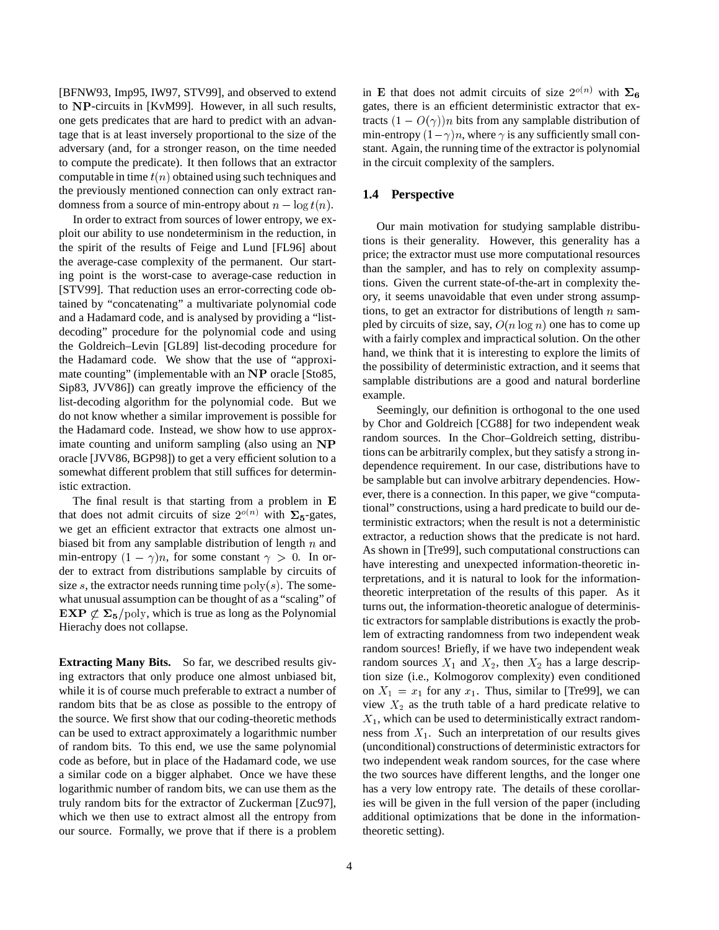[BFNW93, Imp95, IW97, STV99], and observed to extend to NP-circuits in [KvM99]. However, in all such results, one gets predicates that are hard to predict with an advantage that is at least inversely proportional to the size of the adversary (and, for a stronger reason, on the time needed to compute the predicate). It then follows that an extractor computable in time  $t(n)$  obtained using such techniques and the previously mentioned connection can only extract randomness from a source of min-entropy about  $n - \log t(n)$ .

In order to extract from sources of lower entropy, we exploit our ability to use nondeterminism in the reduction, in the spirit of the results of Feige and Lund [FL96] about the average-case complexity of the permanent. Our starting point is the worst-case to average-case reduction in [STV99]. That reduction uses an error-correcting code obtained by "concatenating" a multivariate polynomial code and a Hadamard code, and is analysed by providing a "listdecoding" procedure for the polynomial code and using the Goldreich–Levin [GL89] list-decoding procedure for the Hadamard code. We show that the use of "approximate counting" (implementable with an NP oracle [Sto85, Sip83, JVV86]) can greatly improve the efficiency of the list-decoding algorithm for the polynomial code. But we do not know whether a similar improvement is possible for the Hadamard code. Instead, we show how to use approximate counting and uniform sampling (also using an NP oracle [JVV86, BGP98]) to get a very efficient solution to a somewhat different problem that still suffices for deterministic extraction.

The final result is that starting from a problem in <sup>E</sup> that does not admit circuits of size  $2^{o(n)}$  with  $\Sigma_5$ -gates, we get an efficient extractor that extracts one almost unbiased bit from any samplable distribution of length  $n$  and min-entropy  $(1 - \gamma)n$ , for some constant  $\gamma > 0$ . In order to extract from distributions samplable by circuits of size s, the extractor needs running time  $poly(s)$ . The somewhat unusual assumption can be thought of as a "scaling" of  $\mathbf{EXP} \not\subset \Sigma_5$  /poly, which is true as long as the Polynomial Hierachy does not collapse.

**Extracting Many Bits.** So far, we described results giving extractors that only produce one almost unbiased bit, while it is of course much preferable to extract a number of random bits that be as close as possible to the entropy of the source. We first show that our coding-theoretic methods can be used to extract approximately a logarithmic number of random bits. To this end, we use the same polynomial code as before, but in place of the Hadamard code, we use a similar code on a bigger alphabet. Once we have these logarithmic number of random bits, we can use them as the truly random bits for the extractor of Zuckerman [Zuc97], which we then use to extract almost all the entropy from our source. Formally, we prove that if there is a problem

in E that does not admit circuits of size  $2^{o(n)}$  with  $\Sigma_6$ gates, there is an efficient deterministic extractor that extracts  $(1 - O(\gamma))n$  bits from any samplable distribution of min-entropy  $(1 - \gamma)n$ , where  $\gamma$  is any sufficiently small constant. Again, the running time of the extractor is polynomial in the circuit complexity of the samplers.

## **1.4 Perspective**

Our main motivation for studying samplable distributions is their generality. However, this generality has a price; the extractor must use more computational resources than the sampler, and has to rely on complexity assumptions. Given the current state-of-the-art in complexity theory, it seems unavoidable that even under strong assumptions, to get an extractor for distributions of length  $n$  sampled by circuits of size, say,  $O(n \log n)$  one has to come up with a fairly complex and impractical solution. On the other hand, we think that it is interesting to explore the limits of the possibility of deterministic extraction, and it seems that samplable distributions are a good and natural borderline example.

Seemingly, our definition is orthogonal to the one used by Chor and Goldreich [CG88] for two independent weak random sources. In the Chor–Goldreich setting, distributions can be arbitrarily complex, but they satisfy a strong independence requirement. In our case, distributions have to be samplable but can involve arbitrary dependencies. However, there is a connection. In this paper, we give "computational" constructions, using a hard predicate to build our deterministic extractors; when the result is not a deterministic extractor, a reduction shows that the predicate is not hard. As shown in [Tre99], such computational constructions can have interesting and unexpected information-theoretic interpretations, and it is natural to look for the informationtheoretic interpretation of the results of this paper. As it turns out, the information-theoretic analogue of deterministic extractors for samplable distributions is exactly the problem of extracting randomness from two independent weak random sources! Briefly, if we have two independent weak random sources  $X_1$  and  $X_2$ , then  $X_2$  has a large description size (i.e., Kolmogorov complexity) even conditioned on  $X_1 = x_1$  for any  $x_1$ . Thus, similar to [Tre99], we can view  $X_2$  as the truth table of a hard predicate relative to  $X_1$ , which can be used to deterministically extract randomness from  $X_1$ . Such an interpretation of our results gives (unconditional) constructions of deterministic extractors for two independent weak random sources, for the case where the two sources have different lengths, and the longer one has a very low entropy rate. The details of these corollaries will be given in the full version of the paper (including additional optimizations that be done in the informationtheoretic setting).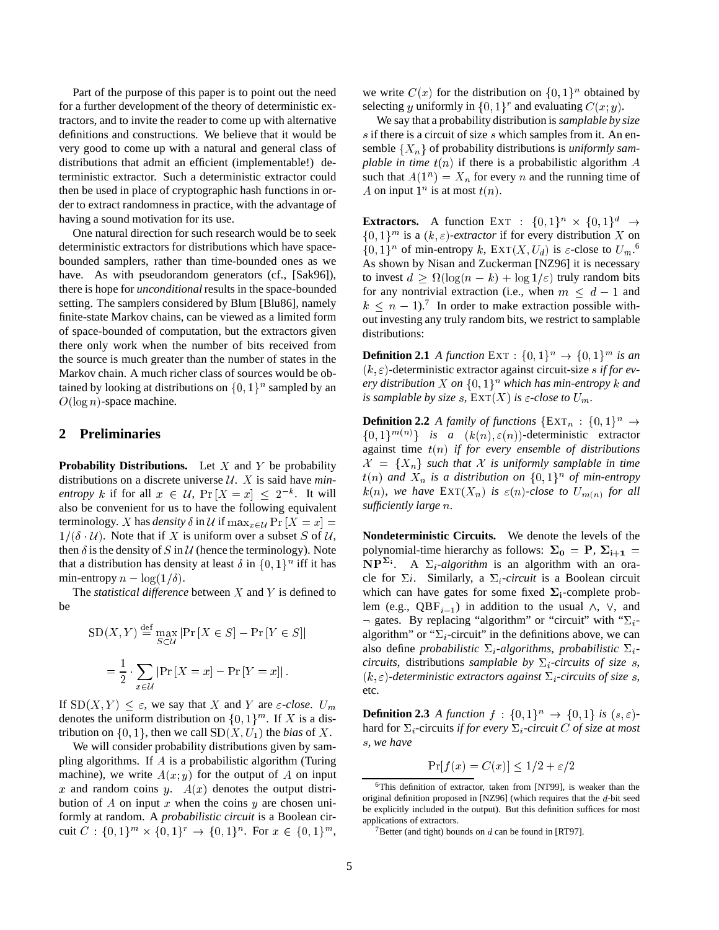Part of the purpose of this paper is to point out the need for a further development of the theory of deterministic extractors, and to invite the reader to come up with alternative definitions and constructions. We believe that it would be very good to come up with a natural and general class of distributions that admit an efficient (implementable!) deterministic extractor. Such a deterministic extractor could then be used in place of cryptographic hash functions in order to extract randomness in practice, with the advantage of having a sound motivation for its use.

One natural direction for such research would be to seek deterministic extractors for distributions which have spacebounded samplers, rather than time-bounded ones as we have. As with pseudorandom generators (cf., [Sak96]), there is hope for *unconditional* results in the space-bounded setting. The samplers considered by Blum [Blu86], namely finite-state Markov chains, can be viewed as a limited form of space-bounded of computation, but the extractors given there only work when the number of bits received from the source is much greater than the number of states in the Markov chain. A much richer class of sources would be obtained by looking at distributions on  $\{0,1\}^n$  sampled by an  $O(\log n)$ -space machine.

## **2 Preliminaries**

**Probability Distributions.** Let  $X$  and  $Y$  be probability distributions on a discrete universe  $\mathcal{U}$ . X is said have *minentropy* k if for all  $x \in \mathcal{U}$ ,  $\Pr[X = x] \leq 2^{-k}$ . It will also be convenient for us to have the following equivalent terminology. X has *density*  $\delta$  in  $\mathcal U$  if  $\max_{x \in \mathcal U} \Pr[X = x] =$  $1/(\delta \cdot U)$ . Note that if X is uniform over a subset S of U, then  $\delta$  is the density of S in U (hence the terminology). Note that a distribution has density at least  $\delta$  in  $\{0, 1\}^n$  iff it has min-entropy  $n - \log(1/\delta)$ .

The *statistical difference* between <sup>X</sup> and <sup>Y</sup> is defined to be

$$
SD(X, Y) \stackrel{\text{def}}{=} \max_{S \subset \mathcal{U}} |\Pr[X \in S] - \Pr[Y \in S]|
$$

$$
= \frac{1}{2} \cdot \sum_{x \in \mathcal{U}} |\Pr[X = x] - \Pr[Y = x]|.
$$

If  $SD(X, Y) < \varepsilon$ , we say that X and Y are  $\varepsilon$ -close. Um denotes the uniform distribution on  $\{0, 1\}^m$ . If X is a distribution on  $\{0, 1\}$ , then we call  $SD(X, U_1)$  the *bias* of X.

 $\sim$ 

We will consider probability distributions given by sampling algorithms. If A is a probabilistic algorithm (Turing machine), we write  $A(x, y)$  for the output of A on input x and random coins y.  $A(x)$  denotes the output distribution of A on input x when the coins y are chosen uniformly at random. A *probabilistic circuit* is a Boolean circuit  $C: \{0,1\}^m \times \{0,1\}^r \rightarrow \{0,1\}^n$ . For  $x \in \{0,1\}^m$ ,

we write  $C(x)$  for the distribution on  $\{0,1\}^n$  obtained by selecting y uniformly in  $\{0, 1\}^r$  and evaluating  $C(x, y)$ .

We say that a probability distribution is *samplable by size*  $s$  if there is a circuit of size  $s$  which samples from it. An ensemble  $\{X_n\}$  of probability distributions is *uniformly samplable in time*  $t(n)$  if there is a probabilistic algorithm  $\overline{A}$ such that  $A(1^n) = X_n$  for every n and the running time of A on input  $1^n$  is at most  $t(n)$ .

**Extractors.** A function EXT :  $\{0,1\}^n \times \{0,1\}^d \rightarrow$  $\{0,1\}^m$  is a  $(k,\varepsilon)$ *-extractor* if for every distribution X on  $\{0,1\}^n$  of min-entropy k,  $\text{EXT}(X, U_d)$  is  $\varepsilon$ -close to  $U_m$ .<sup>6</sup> As shown by Nisan and Zuckerman [NZ96] it is necessary to invest  $d \geq \Omega(\log(n - k) + \log 1/\varepsilon)$  truly random bits for any nontrivial extraction (i.e., when  $m \leq d - 1$  and  $k \leq n - 1$ .<sup>7</sup> In order to make extraction possible without investing any truly random bits, we restrict to samplable distributions:

**Definition 2.1** *A function*  $\text{EXT}: \{0,1\}^n \to \{0,1\}^m$  *is an*  $(k, \varepsilon)$ -deterministic extractor against circuit-size *s* if for ev*ery distribution* X on  $\{0,1\}^n$  which has min-entropy k and *is samplable by size s*,  $\text{EXT}(X)$  *is*  $\varepsilon$ *-close to*  $U_m$ *.* 

**Definition 2.2** *A family of functions*  $\{EXT_n : \{0,1\}^n \rightarrow \emptyset\}$  $\{0,1\}^{m(n)}\}\$  *is a*  $(k(n), \varepsilon(n))$ -deterministic extractor against time t(n) *if for every ensemble of distributions*  $\mathcal{X} = \{X_n\}$  such that X is uniformly samplable in time  $t(n)$  and  $X_n$  is a distribution on  $\{0,1\}^n$  of min-entropy  $k(n)$ , we have  $\text{EXT}(X_n)$  is  $\varepsilon(n)$ -close to  $U_{m(n)}$  for all *sufficiently large* <sup>n</sup>*.*

**Nondeterministic Circuits.** We denote the levels of the polynomial-time hierarchy as follows:  $\Sigma_0 = P$ ,  $\Sigma_{i+1} =$  $NP<sup>2i</sup>$ . A  $\Sigma_i$ -algorithm is an algorithm with an oracle for  $\Sigma i$ . Similarly, a  $\Sigma_i$ -circuit is a Boolean circuit which can have gates for some fixed  $\Sigma_i$ -complete problem (e.g., QBF<sub>i-1</sub>) in addition to the usual  $\wedge$ ,  $\vee$ , and  $\neg$  gates. By replacing "algorithm" or "circuit" with " $\Sigma_i$ algorithm" or " $\Sigma_i$ -circuit" in the definitions above, we can also define *probabilistic*  $\Sigma_i$ -algorithms, *probabilistic*  $\Sigma_i$ *circuits*, distributions *samplable by*  $\Sigma_i$ -*circuits of size* s,  $(k, \varepsilon)$ *-deterministic extractors against*  $\Sigma_i$ *-circuits of size s,* etc.

**Definition 2.3** *A function*  $f : \{0,1\}^n \rightarrow \{0,1\}$  *is*  $(s,\varepsilon)$ hard for  $\Sigma_i$ -circuits *if for every*  $\Sigma_i$ -circuit C *of size at most* <sup>s</sup>*, we have*

$$
\Pr[f(x) = C(x)] \le 1/2 + \varepsilon/2
$$

<sup>&</sup>lt;sup>6</sup>This definition of extractor, taken from [NT99], is weaker than the original definition proposed in [NZ96] (which requires that the <sup>d</sup>-bit seed be explicitly included in the output). But this definition suffices for most applications of extractors.

<sup>&</sup>lt;sup>7</sup>Better (and tight) bounds on  $d$  can be found in [RT97].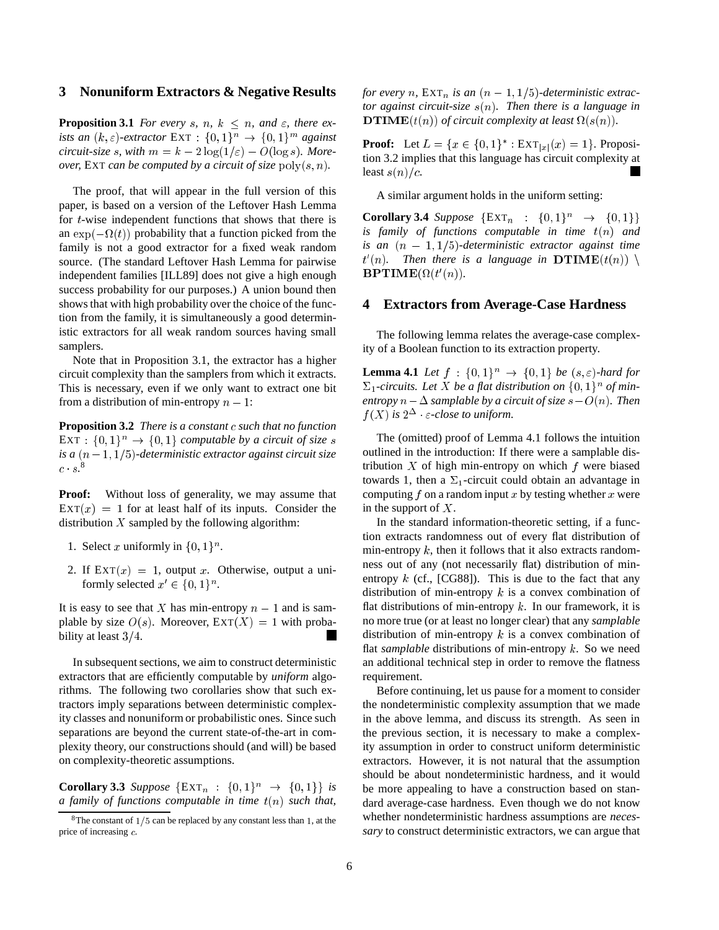#### **3 Nonuniform Extractors & Negative Results**

**Proposition 3.1** *For every s*, *n*,  $k \leq n$ , and  $\varepsilon$ , there ex*ists an*  $(k, \varepsilon)$ -extractor  $\text{EXT}: \{0, 1\}^n \to \{0, 1\}^m$  against *circuit-size s, with*  $m = k - 2 \log(1/\varepsilon) - O(\log s)$ *. Moreover,* EXT *can be computed by a circuit of size*  $poly(s, n)$ *.* 

The proof, that will appear in the full version of this paper, is based on a version of the Leftover Hash Lemma for <sup>t</sup>-wise independent functions that shows that there is an  $\exp(-\Omega(t))$  probability that a function picked from the family is not a good extractor for a fixed weak random source. (The standard Leftover Hash Lemma for pairwise independent families [ILL89] does not give a high enough success probability for our purposes.) A union bound then shows that with high probability over the choice of the function from the family, it is simultaneously a good deterministic extractors for all weak random sources having small samplers.

Note that in Proposition 3.1, the extractor has a higher circuit complexity than the samplers from which it extracts. This is necessary, even if we only want to extract one bit from a distribution of min-entropy  $n - 1$ :

**Proposition 3.2** *There is a constant c such that no function* EXT :  $\{0,1\}$ <sup>n</sup>  $\rightarrow \{0,1\}$  *computable by a circuit of size* s *is a*  $(n-1, 1/5)$ -deterministic extractor against circuit size  $c\cdot s.^8$ 

**Proof:** Without loss of generality, we may assume that  $\text{EXT}(x) = 1$  for at least half of its inputs. Consider the distribution  $X$  sampled by the following algorithm:

- 1. Select x uniformly in  $\{0, 1\}^n$ .
- 2. If  $\text{EXT}(x) = 1$ , output x. Otherwise, output a uniformly selected  $x' \in \{0, 1\}^n$ .

It is easy to see that X has min-entropy  $n - 1$  and is samplable by size  $O(s)$ . Moreover,  $\text{Ext}(X) = 1$  with probability at least  $3/4$ .

In subsequent sections, we aim to construct deterministic extractors that are efficiently computable by *uniform* algorithms. The following two corollaries show that such extractors imply separations between deterministic complexity classes and nonuniform or probabilistic ones. Since such separations are beyond the current state-of-the-art in complexity theory, our constructions should (and will) be based on complexity-theoretic assumptions.

**Corollary 3.3** *Suppose*  $\{EXT_n : \{0,1\}^n \to \{0,1\}\}\$ is *a family of functions computable in time* t(n) *such that,*

*for every n*,  $\operatorname{EXT}_n$  *is an*  $(n-1,1/5)$ *-deterministic extractor against circuit-size* s(n)*. Then there is a language in* **DTIME** $(t(n))$  of circuit complexity at least  $\Omega(s(n))$ .

**Proof:** Let  $L = \{x \in \{0, 1\}^* : \text{EXT}_{|x|}(x) = 1\}$ . Proposition 3.2 implies that this language has circuit complexity at least  $s(n)/c$ .

A similar argument holds in the uniform setting:

**Corollary 3.4** *Suppose*  $\{EXT_n : \{0,1\}^n \to \{0,1\}\}\$ *is family of functions computable in time*  $t(n)$  *and is an*  $(n - 1, 1/5)$ -deterministic extractor against time  $t'(n)$ . Then there is a language in  $\mathbf{DTIME}(t(n)) \setminus$  $\mathbf{BPTIME}(\Omega(t'(n)).$ 

#### **4 Extractors from Average-Case Hardness**

The following lemma relates the average-case complexity of a Boolean function to its extraction property.

**Lemma 4.1** *Let*  $f : \{0,1\}^n \rightarrow \{0,1\}$  *be*  $(s,\varepsilon)$ *-hard for*  $\Sigma_1$ -circuits. Let X be a flat distribution on  $\{0,1\}^n$  of min*entropy*  $n - \Delta$  *samplable by a circuit of size*  $s - O(n)$ *. Then*  $f(X)$  is  $2^{\Delta}$   $\varepsilon$ -close to uniform.

The (omitted) proof of Lemma 4.1 follows the intuition outlined in the introduction: If there were a samplable distribution  $X$  of high min-entropy on which  $f$  were biased towards 1, then a  $\Sigma_1$ -circuit could obtain an advantage in computing f on a random input x by testing whether x were in the support of  $X$ .

In the standard information-theoretic setting, if a function extracts randomness out of every flat distribution of min-entropy  $k$ , then it follows that it also extracts randomness out of any (not necessarily flat) distribution of minentropy  $k$  (cf., [CG88]). This is due to the fact that any distribution of min-entropy  $k$  is a convex combination of flat distributions of min-entropy  $k$ . In our framework, it is no more true (or at least no longer clear) that any *samplable* distribution of min-entropy  $k$  is a convex combination of flat *samplable* distributions of min-entropy k. So we need an additional technical step in order to remove the flatness requirement.

Before continuing, let us pause for a moment to consider the nondeterministic complexity assumption that we made in the above lemma, and discuss its strength. As seen in the previous section, it is necessary to make a complexity assumption in order to construct uniform deterministic extractors. However, it is not natural that the assumption should be about nondeterministic hardness, and it would be more appealing to have a construction based on standard average-case hardness. Even though we do not know whether nondeterministic hardness assumptions are *necessary* to construct deterministic extractors, we can argue that

<sup>&</sup>lt;sup>8</sup>The constant of  $1/5$  can be replaced by any constant less than 1, at the price of increasing  $c$ .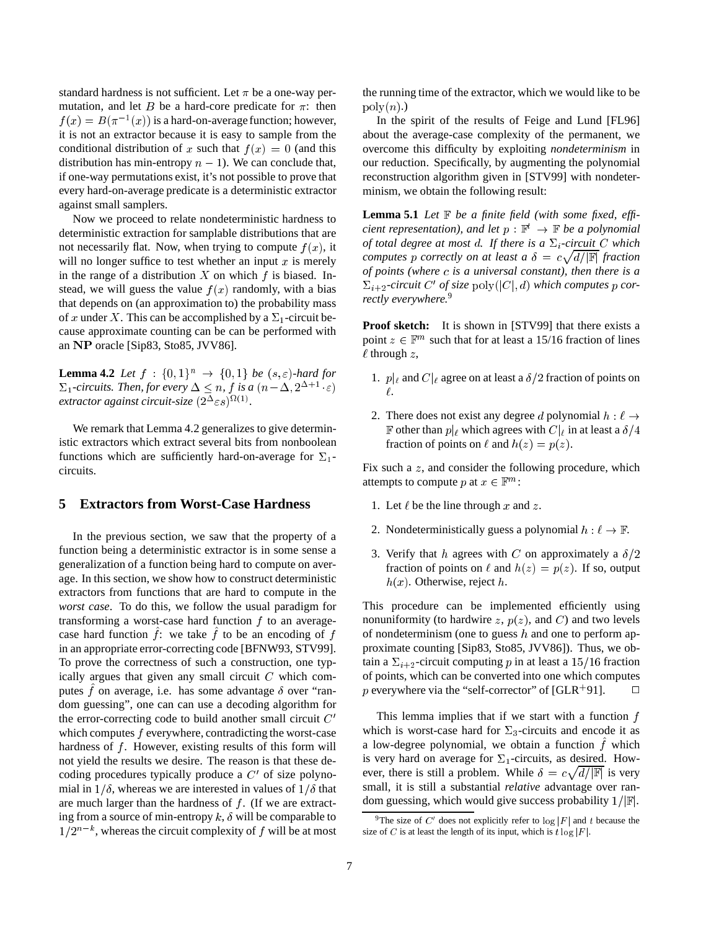standard hardness is not sufficient. Let  $\pi$  be a one-way permutation, and let B be a hard-core predicate for  $\pi$ : then  $f(x) = B(\pi^{-1}(x))$  is a hard-on-average function; however, it is not an extractor because it is easy to sample from the conditional distribution of x such that  $f(x) = 0$  (and this distribution has min-entropy  $n - 1$ ). We can conclude that, if one-way permutations exist, it's not possible to prove that every hard-on-average predicate is a deterministic extractor against small samplers.

Now we proceed to relate nondeterministic hardness to deterministic extraction for samplable distributions that are not necessarily flat. Now, when trying to compute  $f(x)$ , it will no longer suffice to test whether an input  $x$  is merely in the range of a distribution X on which  $f$  is biased. Instead, we will guess the value  $f(x)$  randomly, with a bias that depends on (an approximation to) the probability mass of x under X. This can be accomplished by a  $\Sigma_1$ -circuit because approximate counting can be can be performed with an NP oracle [Sip83, Sto85, JVV86].

**Lemma 4.2** *Let*  $f : \{0,1\}^n \rightarrow \{0,1\}$  *be*  $(s,\varepsilon)$ *-hard for*  $\Sigma_1$ -circuits. Then, for every  $\Delta \leq n$ , f is a  $(n-\Delta, 2^{\Delta+1}, \varepsilon)$  $\alpha$ *extractor against circuit-size*  $(2^{\Delta} \epsilon s)^{\Omega(1)}$ .

We remark that Lemma 4.2 generalizes to give deterministic extractors which extract several bits from nonboolean functions which are sufficiently hard-on-average for  $\Sigma_1$ circuits.

## **5 Extractors from Worst-Case Hardness**

In the previous section, we saw that the property of a function being a deterministic extractor is in some sense a generalization of a function being hard to compute on average. In this section, we show how to construct deterministic extractors from functions that are hard to compute in the *worst case*. To do this, we follow the usual paradigm for transforming a worst-case hard function  $f$  to an averagecase hard function  $f$ : we take  $f$  to be an encoding of  $f$ in an appropriate error-correcting code [BFNW93, STV99]. To prove the correctness of such a construction, one typically argues that given any small circuit  $C$  which computes  $f$  on average, i.e. has some advantage  $\delta$  over "random guessing", one can can use a decoding algorithm for the error-correcting code to build another small circuit  $C'$ which computes f everywhere, contradicting the worst-case hardness of  $f$ . However, existing results of this form will not yield the results we desire. The reason is that these decoding procedures typically produce a  $C'$  of size polynomial in  $1/\delta$ , whereas we are interested in values of  $1/\delta$  that are much larger than the hardness of  $f$ . (If we are extracting from a source of min-entropy  $k, \delta$  will be comparable to  $1/2^{n-k}$ , whereas the circuit complexity of f will be at most

the running time of the extractor, which we would like to be  $\operatorname{poly}(n)$ .)

In the spirit of the results of Feige and Lund [FL96] about the average-case complexity of the permanent, we overcome this difficulty by exploiting *nondeterminism* in our reduction. Specifically, by augmenting the polynomial reconstruction algorithm given in [STV99] with nondeterminism, we obtain the following result:

**Lemma 5.1** *Let* <sup>F</sup> *be a finite field (with some fixed, efficient representation), and let*  $p : \mathbb{F}^t \to \mathbb{F}$  *be a polynomial of total degree at most d. If there is a*  $\Sigma_i$ -circuit C which *computes* p *correctly on at least a*  $\delta = c \sqrt{d/|\mathbb{F}|}$  *fraction of points (where is a universal constant), then there is a*  $\Sigma_{i+2}$ -circuit C' of size poly( $|C|, d$ ) which computes p cor*rectly everywhere.*<sup>9</sup>

**Proof sketch:** It is shown in [STV99] that there exists a point  $z \in \mathbb{F}^m$  such that for at least a 15/16 fraction of lines  $\ell$  through z,

- 1.  $p|_{\ell}$  and  $C|_{\ell}$  agree on at least a  $\delta/2$  fraction of points on  $\ell$ .
- 2. There does not exist any degree d polynomial  $h : \ell \rightarrow$ F other than  $p|_{\ell}$  which agrees with  $C|_{\ell}$  in at least a  $\delta/4$ fraction of points on  $\ell$  and  $h(z) = p(z)$ .

Fix such a z, and consider the following procedure, which attempts to compute p at  $x \in \mathbb{F}^m$ :

- 1. Let  $\ell$  be the line through x and z.
- 2. Nondeterministically guess a polynomial  $h : \ell \to \mathbb{F}$ .
- 3. Verify that h agrees with C on approximately a  $\delta/2$ fraction of points on  $\ell$  and  $h(z) = p(z)$ . If so, output  $h(x)$ . Otherwise, reject h.

This procedure can be implemented efficiently using nonuniformity (to hardwire z,  $p(z)$ , and C) and two levels of nondeterminism (one to guess  $h$  and one to perform approximate counting [Sip83, Sto85, JVV86]). Thus, we obtain a  $\Sigma_{i+2}$ -circuit computing p in at least a 15/16 fraction of points, which can be converted into one which computes p everywhere via the "self-corrector" of [GLR+91].  $\Box$ 

This lemma implies that if we start with a function  $f$ which is worst-case hard for  $\Sigma_3$ -circuits and encode it as a low-degree polynomial, we obtain a function  $f$  which is very hard on average for  $\Sigma_1$ -circuits, as desired. However, there is still a problem. While  $\delta = c \sqrt{d/|\mathbb{F}|}$  is very small, it is still a substantial *relative* advantage over random guessing, which would give success probability  $1/|\mathbb{F}|$ .

<sup>&</sup>lt;sup>9</sup>The size of C' does not explicitly refer to  $log |F|$  and t because the size of C is at least the length of its input, which is  $t \log |F|$ .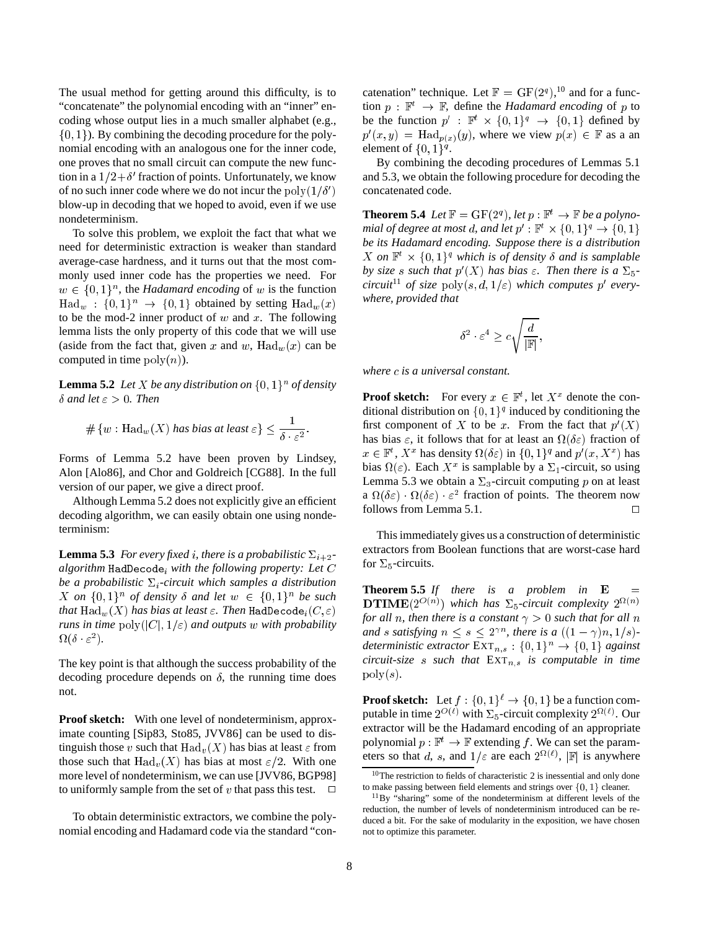The usual method for getting around this difficulty, is to "concatenate" the polynomial encoding with an "inner" encoding whose output lies in a much smaller alphabet (e.g.,  $\{0, 1\}$ ). By combining the decoding procedure for the polynomial encoding with an analogous one for the inner code, one proves that no small circuit can compute the new function in a  $1/2 + \delta'$  fraction of points. Unfortunately, we know of no such inner code where we do not incur the  $poly(1/\delta')$ blow-up in decoding that we hoped to avoid, even if we use nondeterminism.

To solve this problem, we exploit the fact that what we need for deterministic extraction is weaker than standard average-case hardness, and it turns out that the most commonly used inner code has the properties we need. For  $w \in \{0,1\}^n$ , the *Hadamard encoding* of w is the function  $\text{Had}_{w} : \{0,1\}^{n} \rightarrow \{0,1\}$  obtained by setting  $\text{Had}_{w}(x)$ to be the mod-2 inner product of  $w$  and  $x$ . The following lemma lists the only property of this code that we will use (aside from the fact that, given x and w,  $\text{Had}_{w}(x)$  can be computed in time  $poly(n)$ ).

**Lemma 5.2** *Let X be any distribution on*  $\{0, 1\}^n$  *of density*  $\delta$  and let  $\varepsilon > 0$ . Then

$$
\#\{w: \text{Had}_{w}(X) \text{ has bias at least } \varepsilon\} \leq \frac{1}{\delta \cdot \varepsilon^{2}}.
$$

Forms of Lemma 5.2 have been proven by Lindsey, Alon [Alo86], and Chor and Goldreich [CG88]. In the full version of our paper, we give a direct proof.

Although Lemma 5.2 does not explicitly give an efficient decoding algorithm, we can easily obtain one using nondeterminism:

**Lemma 5.3** *For every fixed i, there is a probabilistic*  $\Sigma_{i+2}$ *algorithm* HadDe
odei *with the following property: Let* C *be a probabilistic*  $\Sigma_i$ -circuit which samples a distribution  $X$  on  $\{0,1\}^n$  of density  $\delta$  and let  $w \in \{0,1\}^n$  be such *that*  $\text{Had}_{w}(X)$  *has bias at least*  $\varepsilon$ . *Then*  $\text{HadDecode}_{i}(C, \varepsilon)$ *runs in time*  $poly(|C|, 1/\varepsilon)$  *and outputs* w *with probability*  $\Omega(\delta \cdot \varepsilon^2).$ 

The key point is that although the success probability of the decoding procedure depends on  $\delta$ , the running time does not.

**Proof sketch:** With one level of nondeterminism, approximate counting [Sip83, Sto85, JVV86] can be used to distinguish those v such that  $\text{Had}_{v}(X)$  has bias at least  $\varepsilon$  from those such that  $\text{Had}_{v}(X)$  has bias at most  $\varepsilon/2$ . With one more level of nondeterminism, we can use [JVV86, BGP98] to uniformly sample from the set of v that pass this test.  $\Box$ 

To obtain deterministic extractors, we combine the polynomial encoding and Hadamard code via the standard "con-

catenation" technique. Let  $\mathbb{F} = GF(2^q)$ , <sup>10</sup> and for a function  $p : \mathbb{F}^t \to \mathbb{F}$ , define the *Hadamard encoding* of p to be the function  $p'$ :  $\mathbb{F}^t \times \{0,1\}^q \to \{0,1\}$  defined by  $p'(x, y) = \text{Had}_{p(x)}(y)$ , where we view  $p(x) \in \mathbb{F}$  as a an element of  $\{0, 1\}^q$ .

By combining the decoding procedures of Lemmas 5.1 and 5.3, we obtain the following procedure for decoding the concatenated code.

**Theorem 5.4** *Let*  $\mathbb{F} = \text{GF}(2^q)$ *, let*  $p : \mathbb{F}^t \to \mathbb{F}$  *be a polynomial of degree at most d, and let*  $p' : \mathbb{F}^t \times \{0,1\}^q \rightarrow \{0,1\}$ *be its Hadamard encoding. Suppose there is a distribution* X on  $\mathbb{F}^t \times \{0,1\}^q$  which is of density  $\delta$  and is samplable *by size s such that*  $p'(X)$  *has bias*  $\varepsilon$ *. Then there is a*  $\Sigma_5$ *circuit*<sup>11</sup> of size  $poly(s, d, 1/\varepsilon)$  *which computes* p' every*where, provided that*

$$
\delta^2 \cdot \varepsilon^4 \geq c \sqrt{\frac{d}{|\mathbb{F}|}}
$$

;

*where is a universal constant.*

**Proof sketch:** For every  $x \in \mathbb{F}^t$ , let  $X^x$  denote the conditional distribution on  $\{0,1\}^q$  induced by conditioning the first component of X to be x. From the fact that  $p'(X)$ has bias  $\varepsilon$ , it follows that for at least an  $\Omega(\delta \varepsilon)$  fraction of  $x \in \mathbb{F}^t$ ,  $X^x$  has density  $\Omega(\delta \varepsilon)$  in  $\{0, 1\}^q$  and  $p'(x, X^x)$  has bias  $\Omega(\varepsilon)$ . Each  $X^x$  is samplable by a  $\Sigma_1$ -circuit, so using Lemma 5.3 we obtain a  $\Sigma_3$ -circuit computing p on at least a  $\Omega(\delta \varepsilon) \cdot \Omega(\delta \varepsilon)$   $\varepsilon^2$  fraction of points. The theorem now follows from Lemma 5.1.  $\Box$ 

This immediately gives us a construction of deterministic extractors from Boolean functions that are worst-case hard for  $\Sigma_5$ -circuits.

**Theorem 5.5** *If there is a problem in*  $E$ **DTIME** $(2^{O(n)})$  which has  $\Sigma_5$ -circuit complexity  $2^{\Omega(n)}$ *for all n, then there is a constant*  $\gamma > 0$  *such that for all n and s satisfying*  $n \leq s \leq 2^{\gamma n}$ *, there is a*  $((1 - \gamma)n, 1/s)$ *deterministic extractor*  $\text{EXT}_{n,s} : \{0,1\}^n \to \{0,1\}$  *against circuit-size s such that*  $EXT_{n,s}$  *is computable in time*  $poly(s)$ .

**Proof sketch:** Let  $f : \{0,1\}^{\ell} \rightarrow \{0,1\}$  be a function computable in time  $2^{O(\ell)}$  with  $\Sigma_5$ -circuit complexity  $2^{\Omega(\ell)}$ . Our extractor will be the Hadamard encoding of an appropriate polynomial  $p : \mathbb{F}^t \to \mathbb{F}$  extending f. We can set the parameters so that d, s, and  $1/\varepsilon$  are each  $2^{\Omega(\ell)}$ ,  $\mathbb{F}$  is anywhere

 $10$ The restriction to fields of characteristic 2 is inessential and only done to make passing between field elements and strings over  $\{0, 1\}$  cleaner.

<sup>11</sup>By "sharing" some of the nondeterminism at different levels of the reduction, the number of levels of nondeterminism introduced can be reduced a bit. For the sake of modularity in the exposition, we have chosen not to optimize this parameter.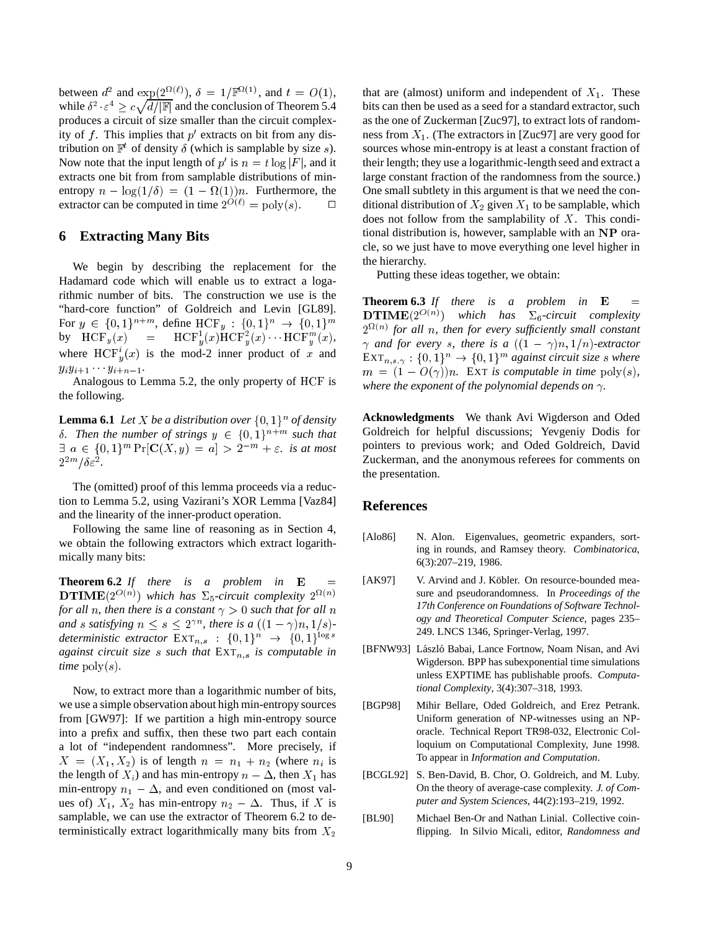between  $d^2$  and  $\exp(2^{\Omega(\ell)}), \delta = 1/\mathbb{F}^{\Omega(1)}$ , and  $t = O(1)$ , while  $\delta^2 \cdot \varepsilon^4 \geq c \sqrt{d/|\mathbb{F}|}$  and the conclusion of Theorem 5.4 produces a circuit of size smaller than the circuit complexity of  $f$ . This implies that  $p'$  extracts on bit from any distribution on  $\mathbb{F}^t$  of density  $\delta$  (which is samplable by size s). Now note that the input length of p' is  $n = t \log |F|$ , and it extracts one bit from from samplable distributions of minentropy  $n - \log(1/\delta) = (1 - \Omega(1))n$ . Furthermore, the extractor can be computed in time  $2^{O(\ell)} = \text{poly}(s)$ .

### **6 Extracting Many Bits**

We begin by describing the replacement for the Hadamard code which will enable us to extract a logarithmic number of bits. The construction we use is the "hard-core function" of Goldreich and Levin [GL89]. For  $y \in \{0,1\}^{n+m}$ , define  $HCF_y : \{0,1\}^n \to \{0,1\}^m$ by  $\text{HCF}_y(x) = \text{HCF}_y^1(x) \text{HCF}_y^2(x) \cdots \text{HCF}_y^m(x),$ where  $HCF_u^i(x)$  is the mod-2 inner product of x and  $y_i y_{i+1} \cdots y_{i+n-1}.$ 

Analogous to Lemma 5.2, the only property of HCF is the following.

**Lemma 6.1** *Let X be a distribution over*  $\{0,1\}$ <sup>*n*</sup> *of density*  $\delta$ . Then the number of strings  $y \in \{0,1\}^{n+m}$  such that  $\exists a \in \{0,1\}^m \Pr[\mathbf{C}(X,y) = a] > 2^{-m} + \varepsilon$ . is at most  $2^{2m}/\delta \varepsilon^2$ .

The (omitted) proof of this lemma proceeds via a reduction to Lemma 5.2, using Vazirani's XOR Lemma [Vaz84] and the linearity of the inner-product operation.

Following the same line of reasoning as in Section 4, we obtain the following extractors which extract logarithmically many bits:

**Theorem 6.2** *If there is a problem in*  $E$ **DTIME** $(2^{O(n)})$  which has  $\Sigma_5$ -circuit complexity  $2^{\Omega(n)}$ *for all n, then there is a constant*  $\gamma > 0$  *such that for all n and s satisfying*  $n \leq s \leq 2^{\gamma n}$ *, there is a*  $((1 - \gamma)n, 1/s)$ *deterministic extractor*  $\operatorname{EXT}_{n,s} : \{0,1\}^n \to \{0,1\}^{\log s}$ *against circuit size s such that*  $\text{EXT}_{n,s}$  *is computable in time*  $\text{poly}(s)$ .

Now, to extract more than a logarithmic number of bits, we use a simple observation about high min-entropy sources from [GW97]: If we partition a high min-entropy source into a prefix and suffix, then these two part each contain a lot of "independent randomness". More precisely, if  $X = (X_1, X_2)$  is of length  $n = n_1 + n_2$  (where  $n_i$  is the length of  $X_i$ ) and has min-entropy  $n - \Delta$ , then  $X_1$  has min-entropy  $n_1 - \Delta$ , and even conditioned on (most values of)  $X_1$ ,  $X_2$  has min-entropy  $n_2 - \Delta$ . Thus, if X is samplable, we can use the extractor of Theorem 6.2 to deterministically extract logarithmically many bits from  $X_2$ 

that are (almost) uniform and independent of  $X_1$ . These bits can then be used as a seed for a standard extractor, such as the one of Zuckerman [Zuc97], to extract lots of randomness from  $X_1$ . (The extractors in [Zuc97] are very good for sources whose min-entropy is at least a constant fraction of their length; they use a logarithmic-length seed and extract a large constant fraction of the randomness from the source.) One small subtlety in this argument is that we need the conditional distribution of  $X_2$  given  $X_1$  to be samplable, which does not follow from the samplability of  $X$ . This conditional distribution is, however, samplable with an NP oracle, so we just have to move everything one level higher in the hierarchy.

Putting these ideas together, we obtain:

**Theorem 6.3** *If there is a problem in*  $E =$  $DTIME(2^{O(n)})$  which has  $\Sigma_6$ -circuit complexity  $2^{\Omega(n)}$  for all *n*, then for every sufficiently small constant  $\gamma$  and for every *s*, there is a  $((1 - \gamma)n, 1/n)$ -extractor  $\text{EXT}_{n,s,\gamma}: \{0,1\}^n \to \{0,1\}^m$  against circuit size *s* where  $m = (1 - O(\gamma))n$ . EXT *is computable in time* poly(*s*), where the exponent of the polynomial depends on  $\gamma$ .

**Acknowledgments** We thank Avi Wigderson and Oded Goldreich for helpful discussions; Yevgeniy Dodis for pointers to previous work; and Oded Goldreich, David Zuckerman, and the anonymous referees for comments on the presentation.

## **References**

- [Alo86] N. Alon. Eigenvalues, geometric expanders, sorting in rounds, and Ramsey theory. *Combinatorica*, 6(3):207–219, 1986.
- [AK97] V. Arvind and J. Köbler. On resource-bounded measure and pseudorandomness. In *Proceedings of the 17th Conference on Foundations of Software Technology and Theoretical Computer Science*, pages 235– 249. LNCS 1346, Springer-Verlag, 1997.
- [BFNW93] László Babai, Lance Fortnow, Noam Nisan, and Avi Wigderson. BPP has subexponential time simulations unless EXPTIME has publishable proofs. *Computational Complexity*, 3(4):307–318, 1993.
- [BGP98] Mihir Bellare, Oded Goldreich, and Erez Petrank. Uniform generation of NP-witnesses using an NPoracle. Technical Report TR98-032, Electronic Colloquium on Computational Complexity, June 1998. To appear in *Information and Computation*.
- [BCGL92] S. Ben-David, B. Chor, O. Goldreich, and M. Luby. On the theory of average-case complexity. *J. of Computer and System Sciences*, 44(2):193–219, 1992.
- [BL90] Michael Ben-Or and Nathan Linial. Collective coinflipping. In Silvio Micali, editor, *Randomness and*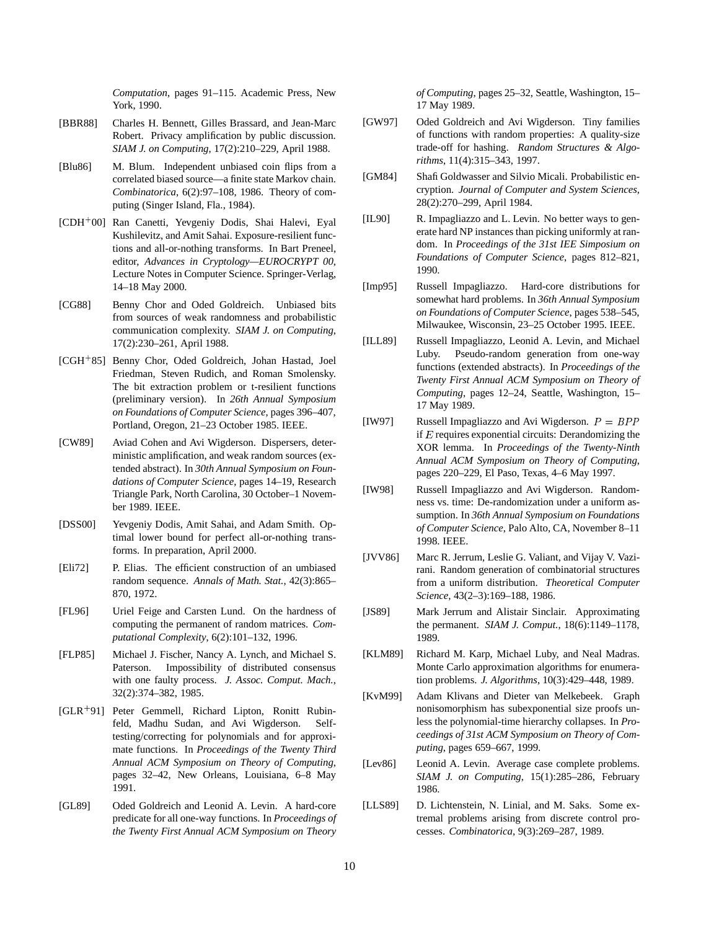*Computation*, pages 91–115. Academic Press, New York, 1990.

- [BBR88] Charles H. Bennett, Gilles Brassard, and Jean-Marc Robert. Privacy amplification by public discussion. *SIAM J. on Computing*, 17(2):210–229, April 1988.
- [Blu86] M. Blum. Independent unbiased coin flips from a correlated biased source—a finite state Markov chain. *Combinatorica*, 6(2):97–108, 1986. Theory of computing (Singer Island, Fla., 1984).
- [CDH<sup>+</sup> 00] Ran Canetti, Yevgeniy Dodis, Shai Halevi, Eyal Kushilevitz, and Amit Sahai. Exposure-resilient functions and all-or-nothing transforms. In Bart Preneel, editor, *Advances in Cryptology—EUROCRYPT 00*, Lecture Notes in Computer Science. Springer-Verlag, 14–18 May 2000.
- [CG88] Benny Chor and Oded Goldreich. Unbiased bits from sources of weak randomness and probabilistic communication complexity. *SIAM J. on Computing*, 17(2):230–261, April 1988.
- [CGH<sup>+</sup> 85] Benny Chor, Oded Goldreich, Johan Hastad, Joel Friedman, Steven Rudich, and Roman Smolensky. The bit extraction problem or t-resilient functions (preliminary version). In *26th Annual Symposium on Foundations of Computer Science*, pages 396–407, Portland, Oregon, 21–23 October 1985. IEEE.
- [CW89] Aviad Cohen and Avi Wigderson. Dispersers, deterministic amplification, and weak random sources (extended abstract). In *30th Annual Symposium on Foundations of Computer Science*, pages 14–19, Research Triangle Park, North Carolina, 30 October–1 November 1989. IEEE.
- [DSS00] Yevgeniy Dodis, Amit Sahai, and Adam Smith. Optimal lower bound for perfect all-or-nothing transforms. In preparation, April 2000.
- [Eli72] P. Elias. The efficient construction of an umbiased random sequence. *Annals of Math. Stat.*, 42(3):865– 870, 1972.
- [FL96] Uriel Feige and Carsten Lund. On the hardness of computing the permanent of random matrices. *Computational Complexity*, 6(2):101–132, 1996.
- [FLP85] Michael J. Fischer, Nancy A. Lynch, and Michael S. Paterson. Impossibility of distributed consensus with one faulty process. *J. Assoc. Comput. Mach.*, 32(2):374–382, 1985.
- [GLR<sup>+</sup> 91] Peter Gemmell, Richard Lipton, Ronitt Rubinfeld, Madhu Sudan, and Avi Wigderson. Selftesting/correcting for polynomials and for approximate functions. In *Proceedings of the Twenty Third Annual ACM Symposium on Theory of Computing*, pages 32–42, New Orleans, Louisiana, 6–8 May 1991.
- [GL89] Oded Goldreich and Leonid A. Levin. A hard-core predicate for all one-way functions. In *Proceedings of the Twenty First Annual ACM Symposium on Theory*

*of Computing*, pages 25–32, Seattle, Washington, 15– 17 May 1989.

- [GW97] Oded Goldreich and Avi Wigderson. Tiny families of functions with random properties: A quality-size trade-off for hashing. *Random Structures & Algorithms*, 11(4):315–343, 1997.
- [GM84] Shafi Goldwasser and Silvio Micali. Probabilistic encryption. *Journal of Computer and System Sciences*, 28(2):270–299, April 1984.
- [IL90] R. Impagliazzo and L. Levin. No better ways to generate hard NP instances than picking uniformly at random. In *Proceedings of the 31st IEE Simposium on Foundations of Computer Science*, pages 812–821, 1990.
- [Imp95] Russell Impagliazzo. Hard-core distributions for somewhat hard problems. In *36th Annual Symposium on Foundations of Computer Science*, pages 538–545, Milwaukee, Wisconsin, 23–25 October 1995. IEEE.
- [ILL89] Russell Impagliazzo, Leonid A. Levin, and Michael Luby. Pseudo-random generation from one-way functions (extended abstracts). In *Proceedings of the Twenty First Annual ACM Symposium on Theory of Computing*, pages 12–24, Seattle, Washington, 15– 17 May 1989.
- [IW97] Russell Impagliazzo and Avi Wigderson.  $P = BPP$ if  $E$  requires exponential circuits: Derandomizing the XOR lemma. In *Proceedings of the Twenty-Ninth Annual ACM Symposium on Theory of Computing*, pages 220–229, El Paso, Texas, 4–6 May 1997.
- [IW98] Russell Impagliazzo and Avi Wigderson. Randomness vs. time: De-randomization under a uniform assumption. In *36th Annual Symposium on Foundations of Computer Science*, Palo Alto, CA, November 8–11 1998. IEEE.
- [JVV86] Marc R. Jerrum, Leslie G. Valiant, and Vijay V. Vazirani. Random generation of combinatorial structures from a uniform distribution. *Theoretical Computer Science*, 43(2–3):169–188, 1986.
- [JS89] Mark Jerrum and Alistair Sinclair. Approximating the permanent. *SIAM J. Comput.*, 18(6):1149–1178, 1989.
- [KLM89] Richard M. Karp, Michael Luby, and Neal Madras. Monte Carlo approximation algorithms for enumeration problems. *J. Algorithms*, 10(3):429–448, 1989.
- [KvM99] Adam Klivans and Dieter van Melkebeek. Graph nonisomorphism has subexponential size proofs unless the polynomial-time hierarchy collapses. In *Proceedings of 31st ACM Symposium on Theory of Computing*, pages 659–667, 1999.
- [Lev86] Leonid A. Levin. Average case complete problems. *SIAM J. on Computing*, 15(1):285–286, February 1986.
- [LLS89] D. Lichtenstein, N. Linial, and M. Saks. Some extremal problems arising from discrete control processes. *Combinatorica*, 9(3):269–287, 1989.